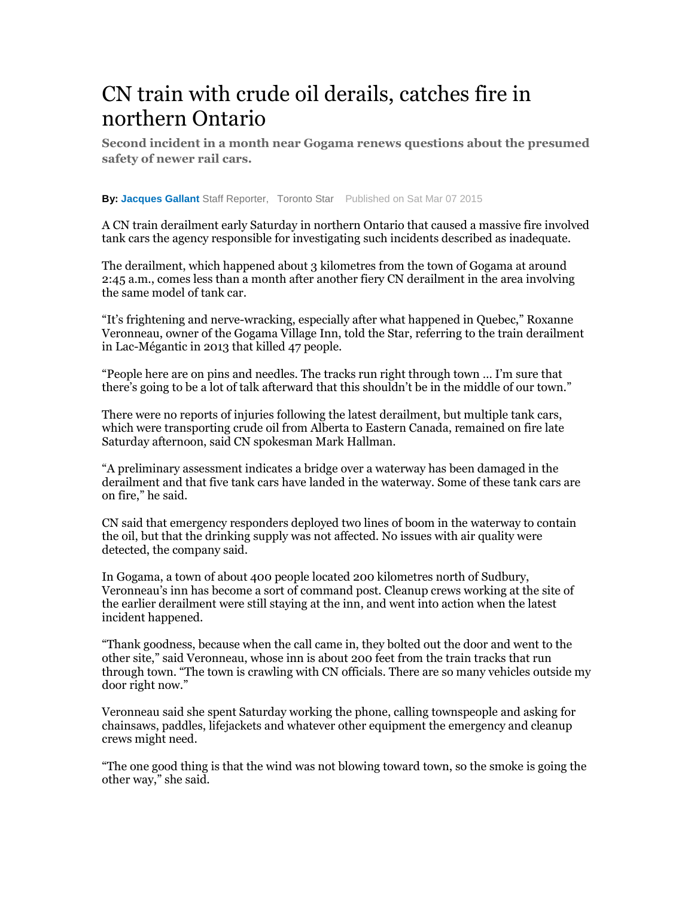## CN train with crude oil derails, catches fire in northern Ontario

**Second incident in a month near Gogama renews questions about the presumed safety of newer rail cars.** 

**By: Jacques Gallant** Staff Reporter, Toronto Star Published on Sat Mar 07 2015

A CN train derailment early Saturday in northern Ontario that caused a massive fire involved tank cars the agency responsible for investigating such incidents described as inadequate.

The derailment, which happened about 3 kilometres from the town of Gogama at around 2:45 a.m., comes less than a month after another fiery CN derailment in the area involving the same model of tank car.

"It's frightening and nerve-wracking, especially after what happened in Quebec," Roxanne Veronneau, owner of the Gogama Village Inn, told the Star, referring to the train derailment in Lac-Mégantic in 2013 that killed 47 people.

"People here are on pins and needles. The tracks run right through town … I'm sure that there's going to be a lot of talk afterward that this shouldn't be in the middle of our town."

There were no reports of injuries following the latest derailment, but multiple tank cars, which were transporting crude oil from Alberta to Eastern Canada, remained on fire late Saturday afternoon, said CN spokesman Mark Hallman.

"A preliminary assessment indicates a bridge over a waterway has been damaged in the derailment and that five tank cars have landed in the waterway. Some of these tank cars are on fire," he said.

CN said that emergency responders deployed two lines of boom in the waterway to contain the oil, but that the drinking supply was not affected. No issues with air quality were detected, the company said.

In Gogama, a town of about 400 people located 200 kilometres north of Sudbury, Veronneau's inn has become a sort of command post. Cleanup crews working at the site of the earlier derailment were still staying at the inn, and went into action when the latest incident happened.

"Thank goodness, because when the call came in, they bolted out the door and went to the other site," said Veronneau, whose inn is about 200 feet from the train tracks that run through town. "The town is crawling with CN officials. There are so many vehicles outside my door right now."

Veronneau said she spent Saturday working the phone, calling townspeople and asking for chainsaws, paddles, lifejackets and whatever other equipment the emergency and cleanup crews might need.

"The one good thing is that the wind was not blowing toward town, so the smoke is going the other way," she said.